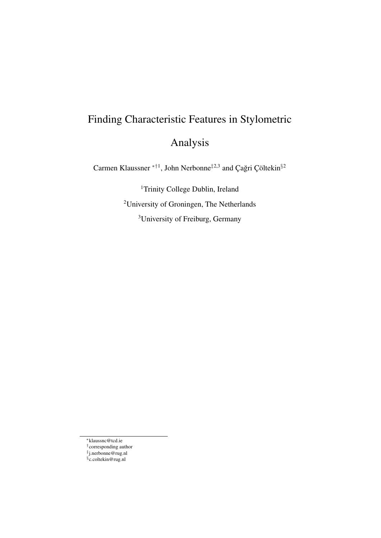# Finding Characteristic Features in Stylometric Analysis

Carmen Klaussner <sup>\*†1</sup>, John Nerbonne<sup>‡2,3</sup> and Çağri Çöltekin<sup>§2</sup>

<sup>1</sup>Trinity College Dublin, Ireland <sup>2</sup>University of Groningen, The Netherlands <sup>3</sup>University of Freiburg, Germany

<sup>∗</sup>klaussnc@tcd.ie

<sup>†</sup> corresponding author ‡ j.nerbonne@rug.nl

<sup>§</sup> c.coltekin@rug.nl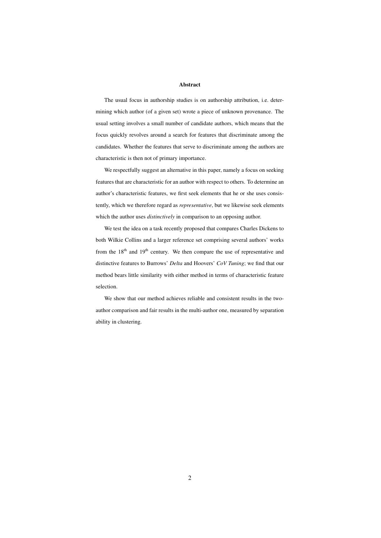#### Abstract

The usual focus in authorship studies is on authorship attribution, i.e. determining which author (of a given set) wrote a piece of unknown provenance. The usual setting involves a small number of candidate authors, which means that the focus quickly revolves around a search for features that discriminate among the candidates. Whether the features that serve to discriminate among the authors are characteristic is then not of primary importance.

We respectfully suggest an alternative in this paper, namely a focus on seeking features that are characteristic for an author with respect to others. To determine an author's characteristic features, we first seek elements that he or she uses consistently, which we therefore regard as *representative*, but we likewise seek elements which the author uses *distinctively* in comparison to an opposing author.

We test the idea on a task recently proposed that compares Charles Dickens to both Wilkie Collins and a larger reference set comprising several authors' works from the 18<sup>th</sup> and 19<sup>th</sup> century. We then compare the use of representative and distinctive features to Burrows' *Delta* and Hoovers' *CoV Tuning*; we find that our method bears little similarity with either method in terms of characteristic feature selection.

We show that our method achieves reliable and consistent results in the twoauthor comparison and fair results in the multi-author one, measured by separation ability in clustering.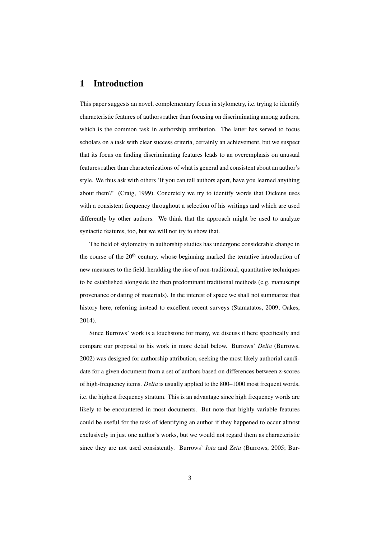# 1 Introduction

This paper suggests an novel, complementary focus in stylometry, i.e. trying to identify characteristic features of authors rather than focusing on discriminating among authors, which is the common task in authorship attribution. The latter has served to focus scholars on a task with clear success criteria, certainly an achievement, but we suspect that its focus on finding discriminating features leads to an overemphasis on unusual features rather than characterizations of what is general and consistent about an author's style. We thus ask with others 'If you can tell authors apart, have you learned anything about them?' (Craig, 1999). Concretely we try to identify words that Dickens uses with a consistent frequency throughout a selection of his writings and which are used differently by other authors. We think that the approach might be used to analyze syntactic features, too, but we will not try to show that.

The field of stylometry in authorship studies has undergone considerable change in the course of the  $20<sup>th</sup>$  century, whose beginning marked the tentative introduction of new measures to the field, heralding the rise of non-traditional, quantitative techniques to be established alongside the then predominant traditional methods (e.g. manuscript provenance or dating of materials). In the interest of space we shall not summarize that history here, referring instead to excellent recent surveys (Stamatatos, 2009; Oakes, 2014).

Since Burrows' work is a touchstone for many, we discuss it here specifically and compare our proposal to his work in more detail below. Burrows' *Delta* (Burrows, 2002) was designed for authorship attribution, seeking the most likely authorial candidate for a given document from a set of authors based on differences between z-scores of high-frequency items. *Delta* is usually applied to the 800–1000 most frequent words, i.e. the highest frequency stratum. This is an advantage since high frequency words are likely to be encountered in most documents. But note that highly variable features could be useful for the task of identifying an author if they happened to occur almost exclusively in just one author's works, but we would not regard them as characteristic since they are not used consistently. Burrows' *Iota* and *Zeta* (Burrows, 2005; Bur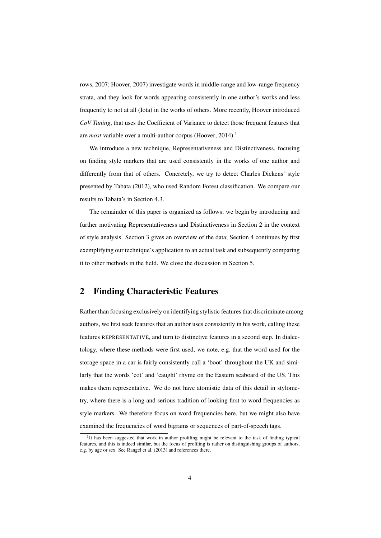rows, 2007; Hoover, 2007) investigate words in middle-range and low-range frequency strata, and they look for words appearing consistently in one author's works and less frequently to not at all (Iota) in the works of others. More recently, Hoover introduced *CoV Tuning*, that uses the Coefficient of Variance to detect those frequent features that are *most* variable over a multi-author corpus (Hoover, 2014).<sup>1</sup>

We introduce a new technique, Representativeness and Distinctiveness, focusing on finding style markers that are used consistently in the works of one author and differently from that of others. Concretely, we try to detect Charles Dickens' style presented by Tabata (2012), who used Random Forest classification. We compare our results to Tabata's in Section 4.3.

The remainder of this paper is organized as follows; we begin by introducing and further motivating Representativeness and Distinctiveness in Section 2 in the context of style analysis. Section 3 gives an overview of the data; Section 4 continues by first exemplifying our technique's application to an actual task and subsequently comparing it to other methods in the field. We close the discussion in Section 5.

## 2 Finding Characteristic Features

Rather than focusing exclusively on identifying stylistic features that discriminate among authors, we first seek features that an author uses consistently in his work, calling these features REPRESENTATIVE, and turn to distinctive features in a second step. In dialectology, where these methods were first used, we note, e.g. that the word used for the storage space in a car is fairly consistently call a 'boot' throughout the UK and similarly that the words 'cot' and 'caught' rhyme on the Eastern seaboard of the US. This makes them representative. We do not have atomistic data of this detail in stylometry, where there is a long and serious tradition of looking first to word frequencies as style markers. We therefore focus on word frequencies here, but we might also have examined the frequencies of word bigrams or sequences of part-of-speech tags.

<sup>&</sup>lt;sup>1</sup>It has been suggested that work in author profiling might be relevant to the task of finding typical features, and this is indeed similar, but the focus of profiling is rather on distinguishing groups of authors, e.g. by age or sex. See Rangel et al. (2013) and references there.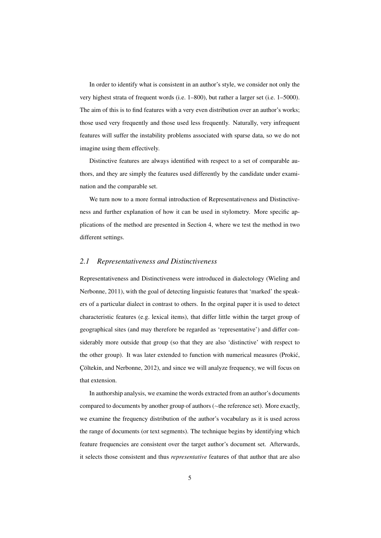In order to identify what is consistent in an author's style, we consider not only the very highest strata of frequent words (i.e. 1–800), but rather a larger set (i.e. 1–5000). The aim of this is to find features with a very even distribution over an author's works; those used very frequently and those used less frequently. Naturally, very infrequent features will suffer the instability problems associated with sparse data, so we do not imagine using them effectively.

Distinctive features are always identified with respect to a set of comparable authors, and they are simply the features used differently by the candidate under examination and the comparable set.

We turn now to a more formal introduction of Representativeness and Distinctiveness and further explanation of how it can be used in stylometry. More specific applications of the method are presented in Section 4, where we test the method in two different settings.

#### *2.1 Representativeness and Distinctiveness*

Representativeness and Distinctiveness were introduced in dialectology (Wieling and Nerbonne, 2011), with the goal of detecting linguistic features that 'marked' the speakers of a particular dialect in contrast to others. In the orginal paper it is used to detect characteristic features (e.g. lexical items), that differ little within the target group of geographical sites (and may therefore be regarded as 'representative') and differ considerably more outside that group (so that they are also 'distinctive' with respect to the other group). It was later extended to function with numerical measures (Prokic,´ Cöltekin, and Nerbonne, 2012), and since we will analyze frequency, we will focus on that extension.

In authorship analysis, we examine the words extracted from an author's documents compared to documents by another group of authors (∼the reference set). More exactly, we examine the frequency distribution of the author's vocabulary as it is used across the range of documents (or text segments). The technique begins by identifying which feature frequencies are consistent over the target author's document set. Afterwards, it selects those consistent and thus *representative* features of that author that are also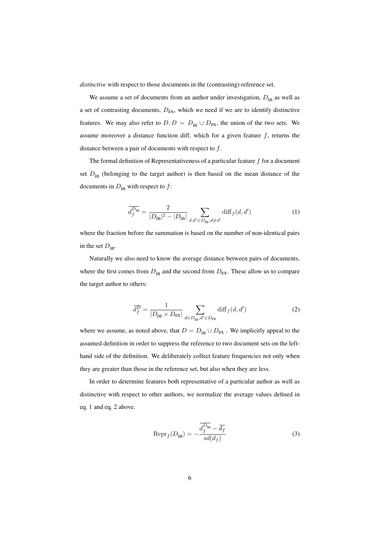*distinctive* with respect to those documents in the (contrasting) reference set.

We assume a set of documents from an author under investigation,  $D_{in}$  as well as a set of contrasting documents,  $D_{\text{ex}}$ , which we need if we are to identify distinctive features. We may also refer to  $D, D = D_{in} \cup D_{ex}$ , the union of the two sets. We assume moreover a distance function diff, which for a given feature  $f$ , returns the distance between a pair of documents with respect to  $f$ .

The formal definition of Representativeness of a particular feature  $f$  for a document set  $D_{\text{in}}$  (belonging to the target author) is then based on the mean distance of the documents in  $D_{\text{in}}$  with respect to f:

$$
\overline{d_f^{D_{\rm in}}} = \frac{2}{|D_{\rm in}|^2 - |D_{\rm in}|} \sum_{d, d' \in D_{\rm in}, d \neq d'} \text{diff}_f(d, d')
$$
(1)

where the fraction before the summation is based on the number of non-identical pairs in the set  $D_{\text{in}}$ .

Naturally we also need to know the average distance between pairs of documents, where the first comes from  $D_{in}$  and the second from  $D_{ex}$ . These allow us to compare the target author to others:

$$
\overline{d_f^D} = \frac{1}{|D_{\text{in}} \times D_{\text{ex}}|} \sum_{d \in D_{\text{in}}, d' \in D_{\text{ex}}} \text{diff}_f(d, d')
$$
(2)

where we assume, as noted above, that  $D = D_{in} \cup D_{ex}$ . We implicitly appeal to the assumed definition in order to suppress the reference to two document sets on the lefthand side of the definition. We deliberately collect feature frequencies not only when they are greater than those in the reference set, but also when they are less.

In order to determine features both representative of a particular author as well as distinctive with respect to other authors, we normalize the average values defined in eq. 1 and eq. 2 above.

$$
Repr_f(D_{\text{in}}) = -\frac{\overline{d_f^{D_{\text{in}}}} - \overline{d_f}}{sd(d_f)}
$$
\n(3)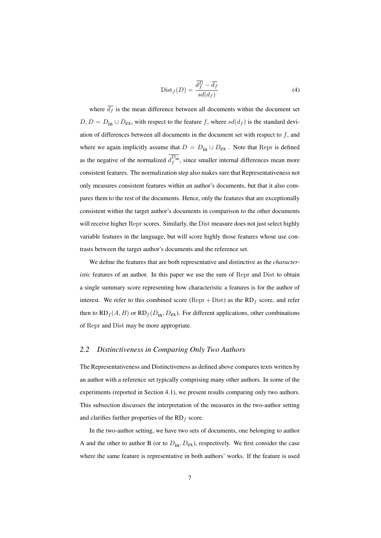$$
\text{Dist}_f(D) = \frac{\overline{d_f^D} - \overline{d_f}}{sd(d_f)}\tag{4}
$$

where  $\overline{d_f}$  is the mean difference between all documents within the document set  $D, D = D_{in} \cup D_{ex}$ , with respect to the feature f, where  $sd(d_f)$  is the standard deviation of differences between all documents in the document set with respect to  $f$ , and where we again implicitly assume that  $D = D_{in} \cup D_{ex}$ . Note that Repr is defined as the negative of the normalized  $d_f^{D_{\text{in}}}$ , since smaller internal differences mean more consistent features. The normalization step also makes sure that Representativeness not only measures consistent features within an author's documents, but that it also compares them to the rest of the documents. Hence, only the features that are exceptionally consistent within the target author's documents in comparison to the other documents will receive higher Repr scores. Similarly, the Dist measure does not just select highly variable features in the language, but will score highly those features whose use contrasts between the target author's documents and the reference set.

We define the features that are both representative and distinctive as the *characteristic* features of an author. In this paper we use the sum of Repr and Dist to obtain a single summary score representing how characteristic a features is for the author of interest. We refer to this combined score (Repr + Dist) as the  $RD<sub>f</sub>$  score, and refer then to  $RD_f(A, B)$  or  $RD_f(D_{in}, D_{ex})$ . For different applications, other combinations of Repr and Dist may be more appropriate.

#### *2.2 Distinctiveness in Comparing Only Two Authors*

The Representativeness and Distinctiveness as defined above compares texts written by an author with a reference set typically comprising many other authors. In some of the experiments (reported in Section 4.1), we present results comparing only two authors. This subsection discusses the interpretation of the measures in the two-author setting and clarifies further properties of the  $RD<sub>f</sub>$  score.

In the two-author setting, we have two sets of documents, one belonging to author A and the other to author B (or to  $D_{in}$ ,  $D_{ex}$ ), respectively. We first consider the case where the same feature is representative in both authors' works. If the feature is used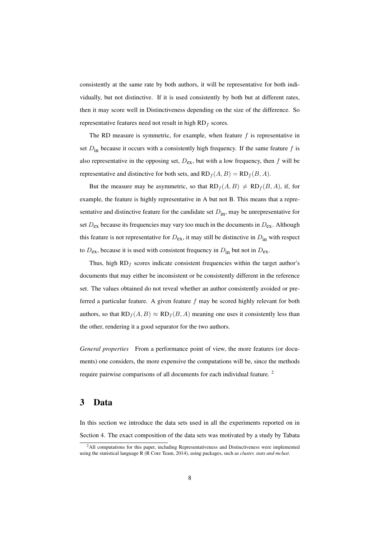consistently at the same rate by both authors, it will be representative for both individually, but not distinctive. If it is used consistently by both but at different rates, then it may score well in Distinctiveness depending on the size of the difference. So representative features need not result in high  $RD_f$  scores.

The RD measure is symmetric, for example, when feature  $f$  is representative in set  $D_{\text{in}}$  because it occurs with a consistently high frequency. If the same feature f is also representative in the opposing set,  $D_{ex}$ , but with a low frequency, then f will be representative and distinctive for both sets, and  $RD_f(A, B) = RD_f(B, A)$ .

But the measure may be asymmetric, so that  $RD_f(A, B) \neq RD_f(B, A)$ , if, for example, the feature is highly representative in A but not B. This means that a representative and distinctive feature for the candidate set  $D_{in}$ , may be unrepresentative for set  $D_{ex}$  because its frequencies may vary too much in the documents in  $D_{ex}$ . Although this feature is not representative for  $D_{ex}$ , it may still be distinctive in  $D_{in}$  with respect to  $D_{ex}$ , because it is used with consistent frequency in  $D_{in}$  but not in  $D_{ex}$ .

Thus, high  $RD_f$  scores indicate consistent frequencies within the target author's documents that may either be inconsistent or be consistently different in the reference set. The values obtained do not reveal whether an author consistently avoided or preferred a particular feature. A given feature  $f$  may be scored highly relevant for both authors, so that  $RD_f(A, B) \approx RD_f(B, A)$  meaning one uses it consistently less than the other, rendering it a good separator for the two authors.

*General properties* From a performance point of view, the more features (or documents) one considers, the more expensive the computations will be, since the methods require pairwise comparisons of all documents for each individual feature. <sup>2</sup>

# 3 Data

In this section we introduce the data sets used in all the experiments reported on in Section 4. The exact composition of the data sets was motivated by a study by Tabata

<sup>&</sup>lt;sup>2</sup>All computations for this paper, including Representativeness and Distinctiveness were implemented using the statistical language R (R Core Team, 2014), using packages, such as *cluster, stats and mclust*.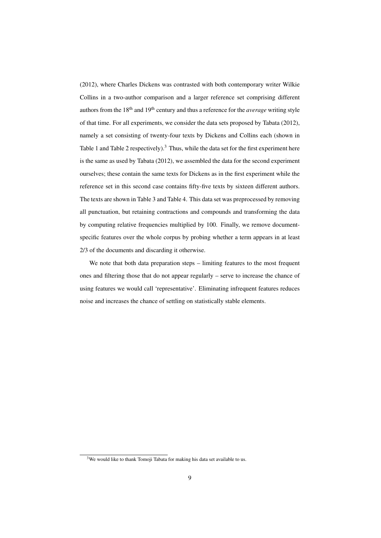(2012), where Charles Dickens was contrasted with both contemporary writer Wilkie Collins in a two-author comparison and a larger reference set comprising different authors from the 18th and 19th century and thus a reference for the *average* writing style of that time. For all experiments, we consider the data sets proposed by Tabata (2012), namely a set consisting of twenty-four texts by Dickens and Collins each (shown in Table 1 and Table 2 respectively).<sup>3</sup> Thus, while the data set for the first experiment here is the same as used by Tabata (2012), we assembled the data for the second experiment ourselves; these contain the same texts for Dickens as in the first experiment while the reference set in this second case contains fifty-five texts by sixteen different authors. The texts are shown in Table 3 and Table 4. This data set was preprocessed by removing all punctuation, but retaining contractions and compounds and transforming the data by computing relative frequencies multiplied by 100. Finally, we remove documentspecific features over the whole corpus by probing whether a term appears in at least 2/3 of the documents and discarding it otherwise.

We note that both data preparation steps – limiting features to the most frequent ones and filtering those that do not appear regularly – serve to increase the chance of using features we would call 'representative'. Eliminating infrequent features reduces noise and increases the chance of settling on statistically stable elements.

 $3$ We would like to thank Tomoji Tabata for making his data set available to us.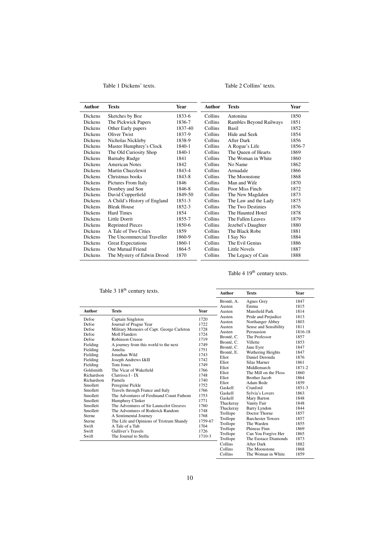Table 1 Dickens' texts.

## Table 2 Collins' texts.

| <b>Author</b>  | <b>Texts</b>                 | Year    | <b>Author</b>  | <b>Texts</b>            | <b>Year</b> |
|----------------|------------------------------|---------|----------------|-------------------------|-------------|
| <b>Dickens</b> | Sketches by Boz              | 1833-6  | Collins        | Antonina                | 1850        |
| <b>Dickens</b> | The Pickwick Papers          | 1836-7  | Collins        | Rambles Beyond Railways | 1851        |
| <b>Dickens</b> | Other Early papers           | 1837-40 | Collins        | <b>Basil</b>            | 1852        |
| <b>Dickens</b> | Oliver Twist                 | 1837-9  | Collins        | Hide and Seek           | 1854        |
| Dickens        | Nicholas Nickleby            | 1838-9  | <b>Collins</b> | After Dark              | 1856        |
| Dickens        | Master Humphrey's Clock      | 1840-1  | Collins        | A Rogue's Life          | 1856-7      |
| <b>Dickens</b> | The Old Curiosity Shop       | 1840-1  | Collins        | The Oueen of Hearts     | 1869        |
| Dickens        | <b>Barnaby Rudge</b>         | 1841    | Collins        | The Woman in White      | 1860        |
| <b>Dickens</b> | <b>American Notes</b>        | 1842    | Collins        | No Name                 | 1862        |
| <b>Dickens</b> | Martin Chuzzlewit            | 1843-4  | <b>Collins</b> | Armadale                | 1866        |
| <b>Dickens</b> | Christmas books              | 1843-8  | Collins        | The Moonstone           | 1868        |
| <b>Dickens</b> | Pictures From Italy          | 1846    | Collins        | Man and Wife            | 1870        |
| Dickens        | Dombey and Son               | 1846-8  | <b>Collins</b> | Poor Miss Finch         | 1872        |
| <b>Dickens</b> | David Copperfield            | 1849-50 | Collins        | The New Magdalen        | 1873        |
| <b>Dickens</b> | A Child's History of England | 1851-3  | <b>Collins</b> | The Law and the Lady    | 1875        |
| <b>Dickens</b> | <b>Bleak House</b>           | 1852-3  | Collins        | The Two Destinies       | 1876        |
| <b>Dickens</b> | Hard Times                   | 1854    | <b>Collins</b> | The Haunted Hotel       | 1878        |
| <b>Dickens</b> | Little Dorrit                | 1855-7  | Collins        | The Fallen Leaves       | 1879        |
| Dickens        | <b>Reprinted Pieces</b>      | 1850-6  | <b>Collins</b> | Jezebel's Daughter      | 1880        |
| <b>Dickens</b> | A Tale of Two Cities         | 1859    | <b>Collins</b> | The Black Robe          | 1881        |
| Dickens        | The Uncommercial Traveller   | 1860-9  | Collins        | I Say No                | 1884        |
| Dickens        | <b>Great Expectations</b>    | 1860-1  | Collins        | The Evil Genius         | 1886        |
| <b>Dickens</b> | Our Mutual Friend            | 1864-5  | Collins        | Little Novels           | 1887        |
| Dickens        | The Mystery of Edwin Drood   | 1870    | Collins        | The Legacy of Cain      | 1888        |

# Table 4 19<sup>th</sup> century texts.

|               | Table 3 18 <sup>th</sup> century texts.   |         | Author           | <b>Texts</b>                        | Year         |
|---------------|-------------------------------------------|---------|------------------|-------------------------------------|--------------|
|               |                                           |         |                  |                                     |              |
|               |                                           |         | Brontë, A.       | Agnes Grey                          | 1847         |
|               |                                           |         | Austen           | Emma                                | 1815         |
| <b>Author</b> | <b>Texts</b>                              | Year    | Austen           | Mansfield Park                      | 1814         |
| Defoe         | Captain Singleton                         | 1720    | Austen<br>Austen | Pride and Prejudice                 | 1813<br>1803 |
| Defoe         | Journal of Prague Year                    | 1722    |                  | Northanger Abbey                    | 1811         |
| Defoe         | Military Memoirs of Capt. George Carleton | 1728    | Austen<br>Austen | Sense and Sensibility<br>Persuasion | 1816-18      |
| Defoe         | <b>Moll Flanders</b>                      | 1724    | Brontë, C.       | The Professor                       | 1857         |
| Defoe         | Robinson Crusoe                           | 1719    | Brontë, C.       | Villette                            | 1853         |
| Fielding      | A journey from this world to the next     | 1749    | Brontë, C.       | Jane Eyre                           | 1847         |
| Fielding      | Amelia                                    | 1751    | Brontë, E.       | Wuthering Heights                   | 1847         |
| Fielding      | Jonathan Wild                             | 1743    | Eliot            | Daniel Deronda                      | 1876         |
| Fielding      | Joseph Andrews I&II                       | 1742    | Eliot            | Silas Marner                        | 1861         |
| Fielding      | Tom Jones                                 | 1749    | Eliot            | Middlemarch                         | 1871-2       |
| Goldsmith     | The Vicar of Wakefield                    | 1766    | Eliot            | The Mill on the Floss               | 1860         |
| Richardson    | Clarrissa I - IX                          | 1748    | Eliot            | Brother Jacob                       | 1864         |
| Richardson    | Pamela                                    | 1740    | Eliot            | Adam Bede                           | 1859         |
| Smollett      | Peregrine Pickle                          | 1752    | Gaskell          | Cranford                            | 1851-3       |
| Smollett      | Travels through France and Italy          | 1766    | <b>Gaskell</b>   | Sylvia's Lovers                     | 1863         |
| Smollett      | The Adventures of Ferdinand Count Fathom  | 1753    | Gaskell          | Mary Barton                         | 1848         |
| Smollett      | Humphrey Clinker                          | 1771    | Thackeray        | Vanity Fair                         | 1848         |
| Smollett      | The Adventures of Sir Launcelot Greaves   | 1760    | Thackeray        | <b>Barry Lyndon</b>                 | 1844         |
| Smollett      | The Adventures of Roderick Random         | 1748    | Trollope         | Doctor Thorne                       | 1857         |
| Sterne        | A Sentimental Journey                     | 1768    | Trollope         | <b>Barchester Towers</b>            | 1857         |
| Sterne        | The Life and Opinions of Tristram Shandy  | 1759-67 | Trollope         | The Warden                          | 1855         |
| Swift         | A Tale of a Tub                           | 1704    | Trollope         | Phineas Finn                        | 1869         |
| Swift         | Gulliver's Travels                        | 1726    | Trollope         | Can You Forgive Her                 | 1865         |
| Swift         | The Journal to Stella                     | 1710-3  | Trollope         | The Eustace Diamonds                | 1873         |
|               |                                           |         | Collins          | After Dark                          | 1882         |
|               |                                           |         | Collins          | The Moonstone                       | 1868         |
|               |                                           |         | Collins          | The Woman in White                  | 1859         |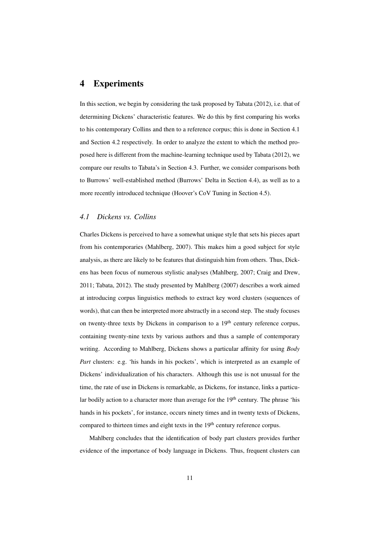## 4 Experiments

In this section, we begin by considering the task proposed by Tabata (2012), i.e. that of determining Dickens' characteristic features. We do this by first comparing his works to his contemporary Collins and then to a reference corpus; this is done in Section 4.1 and Section 4.2 respectively. In order to analyze the extent to which the method proposed here is different from the machine-learning technique used by Tabata (2012), we compare our results to Tabata's in Section 4.3. Further, we consider comparisons both to Burrows' well-established method (Burrows' Delta in Section 4.4), as well as to a more recently introduced technique (Hoover's CoV Tuning in Section 4.5).

#### *4.1 Dickens vs. Collins*

Charles Dickens is perceived to have a somewhat unique style that sets his pieces apart from his contemporaries (Mahlberg, 2007). This makes him a good subject for style analysis, as there are likely to be features that distinguish him from others. Thus, Dickens has been focus of numerous stylistic analyses (Mahlberg, 2007; Craig and Drew, 2011; Tabata, 2012). The study presented by Mahlberg (2007) describes a work aimed at introducing corpus linguistics methods to extract key word clusters (sequences of words), that can then be interpreted more abstractly in a second step. The study focuses on twenty-three texts by Dickens in comparison to a 19<sup>th</sup> century reference corpus, containing twenty-nine texts by various authors and thus a sample of contemporary writing. According to Mahlberg, Dickens shows a particular affinity for using *Body Part* clusters: e.g. 'his hands in his pockets', which is interpreted as an example of Dickens' individualization of his characters. Although this use is not unusual for the time, the rate of use in Dickens is remarkable, as Dickens, for instance, links a particular bodily action to a character more than average for the 19<sup>th</sup> century. The phrase 'his hands in his pockets', for instance, occurs ninety times and in twenty texts of Dickens, compared to thirteen times and eight texts in the  $19<sup>th</sup>$  century reference corpus.

Mahlberg concludes that the identification of body part clusters provides further evidence of the importance of body language in Dickens. Thus, frequent clusters can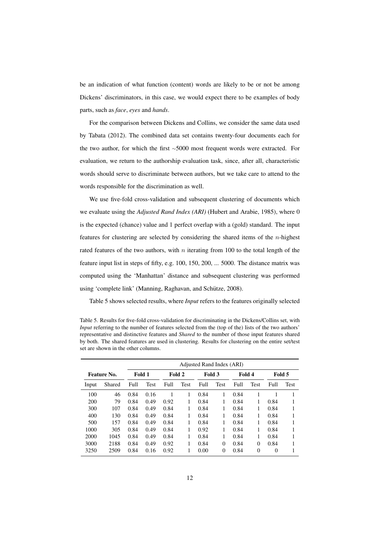be an indication of what function (content) words are likely to be or not be among Dickens' discriminators, in this case, we would expect there to be examples of body parts, such as *face*, *eyes* and *hands*.

For the comparison between Dickens and Collins, we consider the same data used by Tabata (2012). The combined data set contains twenty-four documents each for the two author, for which the first ∼5000 most frequent words were extracted. For evaluation, we return to the authorship evaluation task, since, after all, characteristic words should serve to discriminate between authors, but we take care to attend to the words responsible for the discrimination as well.

We use five-fold cross-validation and subsequent clustering of documents which we evaluate using the *Adjusted Rand Index (ARI)* (Hubert and Arabie, 1985), where 0 is the expected (chance) value and 1 perfect overlap with a (gold) standard. The input features for clustering are selected by considering the shared items of the  $n$ -highest rated features of the two authors, with  $n$  iterating from 100 to the total length of the feature input list in steps of fifty, e.g. 100, 150, 200, ... 5000. The distance matrix was computed using the 'Manhattan' distance and subsequent clustering was performed using 'complete link' (Manning, Raghavan, and Schütze, 2008).

Table 5 shows selected results, where *Input* refers to the features originally selected

Table 5. Results for five-fold cross-validation for discriminating in the Dickens/Collins set, with *Input* referring to the number of features selected from the (top of the) lists of the two authors' representative and distinctive features and *Shared* to the number of those input features shared by both. The shared features are used in clustering. Results for clustering on the entire set/test set are shown in the other columns.

|       |             |      | Adjusted Rand Index (ARI) |        |      |                  |          |        |             |          |      |
|-------|-------------|------|---------------------------|--------|------|------------------|----------|--------|-------------|----------|------|
|       | Feature No. |      | Fold 1                    | Fold 2 |      | Fold 3<br>Fold 4 |          | Fold 5 |             |          |      |
| Input | Shared      | Full | Test                      | Full   | Test | Full             | Test     | Full   | <b>Test</b> | Full     | Test |
| 100   | 46          | 0.84 | 0.16                      |        |      | 0.84             |          | 0.84   |             |          |      |
| 200   | 79          | 0.84 | 0.49                      | 0.92   | 1    | 0.84             | 1        | 0.84   | 1           | 0.84     |      |
| 300   | 107         | 0.84 | 0.49                      | 0.84   |      | 0.84             |          | 0.84   |             | 0.84     |      |
| 400   | 130         | 0.84 | 0.49                      | 0.84   | 1    | 0.84             | 1        | 0.84   | 1           | 0.84     |      |
| 500   | 157         | 0.84 | 0.49                      | 0.84   |      | 0.84             |          | 0.84   |             | 0.84     |      |
| 1000  | 305         | 0.84 | 0.49                      | 0.84   |      | 0.92             |          | 0.84   |             | 0.84     |      |
| 2000  | 1045        | 0.84 | 0.49                      | 0.84   |      | 0.84             |          | 0.84   |             | 0.84     |      |
| 3000  | 2188        | 0.84 | 0.49                      | 0.92   |      | 0.84             | $\Omega$ | 0.84   | 0           | 0.84     |      |
| 3250  | 2509        | 0.84 | 0.16                      | 0.92   |      | 0.00             | $\theta$ | 0.84   | $\theta$    | $\Omega$ |      |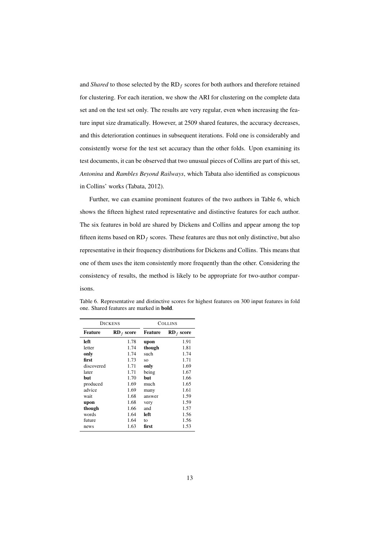and *Shared* to those selected by the  $RD_f$  scores for both authors and therefore retained for clustering. For each iteration, we show the ARI for clustering on the complete data set and on the test set only. The results are very regular, even when increasing the feature input size dramatically. However, at 2509 shared features, the accuracy decreases, and this deterioration continues in subsequent iterations. Fold one is considerably and consistently worse for the test set accuracy than the other folds. Upon examining its test documents, it can be observed that two unusual pieces of Collins are part of this set, *Antonina* and *Rambles Beyond Railways*, which Tabata also identified as conspicuous in Collins' works (Tabata, 2012).

Further, we can examine prominent features of the two authors in Table 6, which shows the fifteen highest rated representative and distinctive features for each author. The six features in bold are shared by Dickens and Collins and appear among the top fifteen items based on  $RD_f$  scores. These features are thus not only distinctive, but also representative in their frequency distributions for Dickens and Collins. This means that one of them uses the item consistently more frequently than the other. Considering the consistency of results, the method is likely to be appropriate for two-author comparisons.

|                                | <b>DICKENS</b> |         | <b>COLLINS</b> |  |  |
|--------------------------------|----------------|---------|----------------|--|--|
| <b>Feature</b><br>$RD_f$ score |                | Feature | $RD_f$ score   |  |  |
| left                           | 1.78           | upon    | 1.91           |  |  |
| letter                         | 1.74           | though  | 1.81           |  |  |
| only                           | 1.74           | such    | 1.74           |  |  |
| first                          | 1.73           | SO.     | 1.71           |  |  |
| discovered                     | 1.71           | only    | 1.69           |  |  |
| later                          | 1.71           | being   | 1.67           |  |  |
| but                            | 1.70           | but     | 1.66           |  |  |
| produced                       | 1.69           | much    | 1.65           |  |  |
| advice                         | 1.69           | many    | 1.61           |  |  |
| wait                           | 1.68           | answer  | 1.59           |  |  |
| upon                           | 1.68           | very    | 1.59           |  |  |
| though                         | 1.66           | and     | 1.57           |  |  |
| words                          | 1.64           | left    | 1.56           |  |  |
| future                         | 1.64           | tο      | 1.56           |  |  |
| news                           | 1.63           | first   | 1.53           |  |  |

Table 6. Representative and distinctive scores for highest features on 300 input features in fold one. Shared features are marked in bold.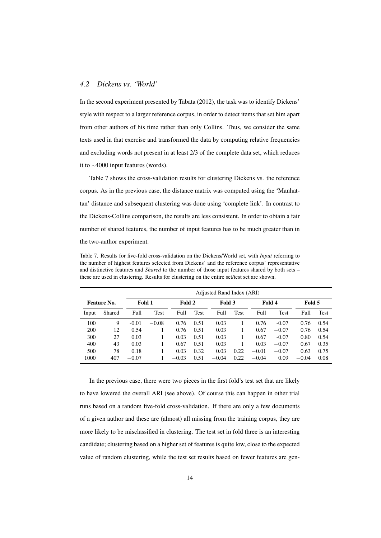## *4.2 Dickens vs. 'World'*

In the second experiment presented by Tabata (2012), the task was to identify Dickens' style with respect to a larger reference corpus, in order to detect items that set him apart from other authors of his time rather than only Collins. Thus, we consider the same texts used in that exercise and transformed the data by computing relative frequencies and excluding words not present in at least 2/3 of the complete data set, which reduces it to ∼4000 input features (words).

Table 7 shows the cross-validation results for clustering Dickens vs. the reference corpus. As in the previous case, the distance matrix was computed using the 'Manhattan' distance and subsequent clustering was done using 'complete link'. In contrast to the Dickens-Collins comparison, the results are less consistent. In order to obtain a fair number of shared features, the number of input features has to be much greater than in the two-author experiment.

Table 7. Results for five-fold cross-validation on the Dickens/World set, with *Input* referring to the number of highest features selected from Dickens' and the reference corpus' representative and distinctive features and *Shared* to the number of those input features shared by both sets – these are used in clustering. Results for clustering on the entire set/test set are shown.

|                       |        |         | Adjusted Rand Index (ARI) |         |             |         |             |         |         |         |             |
|-----------------------|--------|---------|---------------------------|---------|-------------|---------|-------------|---------|---------|---------|-------------|
| Fold 1<br>Feature No. |        |         |                           | Fold 2  |             | Fold 3  |             | Fold 4  |         | Fold 5  |             |
| Input                 | Shared | Full    | Test                      | Full    | <b>Test</b> | Full    | <b>Test</b> | Full    | Test    | Full    | <b>Test</b> |
| 100                   | 9      | $-0.01$ | $-0.08$                   | 0.76    | 0.51        | 0.03    |             | 0.76    | $-0.07$ | 0.76    | 0.54        |
| 200                   | 12     | 0.54    |                           | 0.76    | 0.51        | 0.03    |             | 0.67    | $-0.07$ | 0.76    | 0.54        |
| 300                   | 27     | 0.03    |                           | 0.03    | 0.51        | 0.03    |             | 0.67    | $-0.07$ | 0.80    | 0.54        |
| 400                   | 43     | 0.03    |                           | 0.67    | 0.51        | 0.03    |             | 0.03    | $-0.07$ | 0.67    | 0.35        |
| 500                   | 78     | 0.18    |                           | 0.03    | 0.32        | 0.03    | 0.22        | $-0.01$ | $-0.07$ | 0.63    | 0.75        |
| 1000                  | 407    | $-0.07$ |                           | $-0.03$ | 0.51        | $-0.04$ | 0.22        | $-0.04$ | 0.09    | $-0.04$ | 0.08        |

In the previous case, there were two pieces in the first fold's test set that are likely to have lowered the overall ARI (see above). Of course this can happen in other trial runs based on a random five-fold cross-validation. If there are only a few documents of a given author and these are (almost) all missing from the training corpus, they are more likely to be misclassified in clustering. The test set in fold three is an interesting candidate; clustering based on a higher set of features is quite low, close to the expected value of random clustering, while the test set results based on fewer features are gen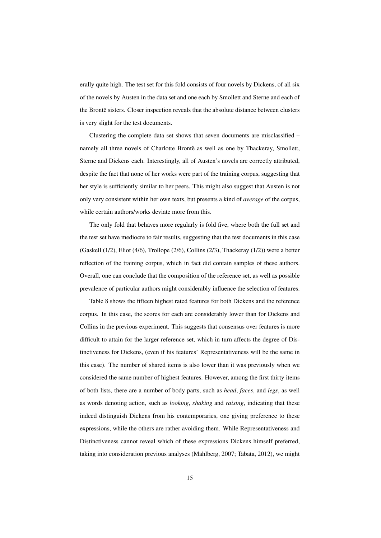erally quite high. The test set for this fold consists of four novels by Dickens, of all six of the novels by Austen in the data set and one each by Smollett and Sterne and each of the Brontë sisters. Closer inspection reveals that the absolute distance between clusters is very slight for the test documents.

Clustering the complete data set shows that seven documents are misclassified – namely all three novels of Charlotte Brontë as well as one by Thackeray, Smollett, Sterne and Dickens each. Interestingly, all of Austen's novels are correctly attributed, despite the fact that none of her works were part of the training corpus, suggesting that her style is sufficiently similar to her peers. This might also suggest that Austen is not only very consistent within her own texts, but presents a kind of *average* of the corpus, while certain authors/works deviate more from this.

The only fold that behaves more regularly is fold five, where both the full set and the test set have mediocre to fair results, suggesting that the test documents in this case (Gaskell (1/2), Eliot (4/6), Trollope (2/6), Collins (2/3), Thackeray (1/2)) were a better reflection of the training corpus, which in fact did contain samples of these authors. Overall, one can conclude that the composition of the reference set, as well as possible prevalence of particular authors might considerably influence the selection of features.

Table 8 shows the fifteen highest rated features for both Dickens and the reference corpus. In this case, the scores for each are considerably lower than for Dickens and Collins in the previous experiment. This suggests that consensus over features is more difficult to attain for the larger reference set, which in turn affects the degree of Distinctiveness for Dickens, (even if his features' Representativeness will be the same in this case). The number of shared items is also lower than it was previously when we considered the same number of highest features. However, among the first thirty items of both lists, there are a number of body parts, such as *head*, *faces*, and *legs*, as well as words denoting action, such as *looking*, *shaking* and *raising*, indicating that these indeed distinguish Dickens from his contemporaries, one giving preference to these expressions, while the others are rather avoiding them. While Representativeness and Distinctiveness cannot reveal which of these expressions Dickens himself preferred, taking into consideration previous analyses (Mahlberg, 2007; Tabata, 2012), we might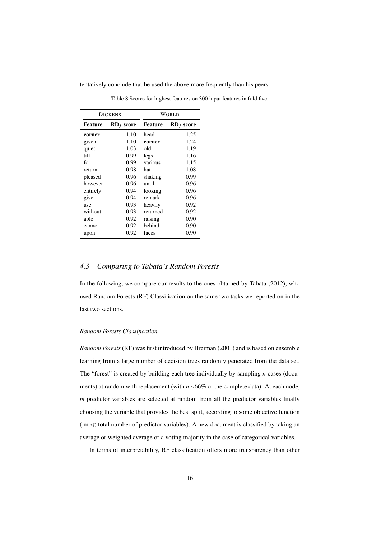tentatively conclude that he used the above more frequently than his peers.

|          | <b>DICKENS</b> | WORLD          |              |  |
|----------|----------------|----------------|--------------|--|
| Feature  | $RD_f$ score   | <b>Feature</b> | $RD_f$ score |  |
| corner   | 1.10           | head           | 1.25         |  |
| given    | 1.10           | corner         | 1.24         |  |
| quiet    | 1.03           | old            | 1.19         |  |
| till     | 0.99           | legs           | 1.16         |  |
| for      | 0.99           | various        | 1.15         |  |
| return   | 0.98           | hat            | 1.08         |  |
| pleased  | 0.96           | shaking        | 0.99         |  |
| however  | 0.96           | until          | 0.96         |  |
| entirely | 0.94           | looking        | 0.96         |  |
| give     | 0.94           | remark         | 0.96         |  |
| use      | 0.93           | heavily        | 0.92         |  |
| without  | 0.93           | returned       | 0.92         |  |
| able     | 0.92           | raising        | 0.90         |  |
| cannot   | 0.92           | behind         | 0.90         |  |
| upon     | 0.92           | faces          | 0.90         |  |

Table 8 Scores for highest features on 300 input features in fold five.

## *4.3 Comparing to Tabata's Random Forests*

In the following, we compare our results to the ones obtained by Tabata (2012), who used Random Forests (RF) Classification on the same two tasks we reported on in the last two sections.

#### *Random Forests Classification*

*Random Forests* (RF) was first introduced by Breiman (2001) and is based on ensemble learning from a large number of decision trees randomly generated from the data set. The "forest" is created by building each tree individually by sampling *n* cases (documents) at random with replacement (with *n* <sup>∼</sup>66% of the complete data). At each node, *m* predictor variables are selected at random from all the predictor variables finally choosing the variable that provides the best split, according to some objective function  $(m \ll$  total number of predictor variables). A new document is classified by taking an average or weighted average or a voting majority in the case of categorical variables.

In terms of interpretability, RF classification offers more transparency than other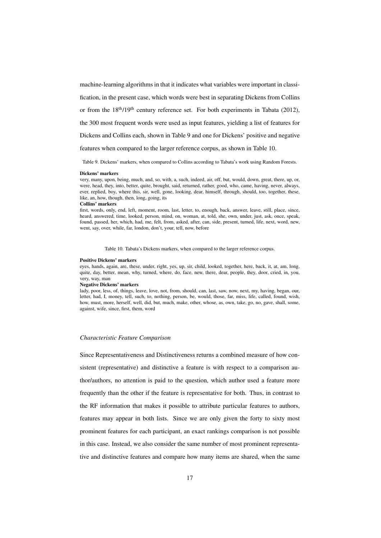machine-learning algorithms in that it indicates what variables were important in classi-

fication, in the present case, which words were best in separating Dickens from Collins

or from the  $18<sup>th</sup>/19<sup>th</sup>$  century reference set. For both experiments in Tabata (2012),

the 300 most frequent words were used as input features, yielding a list of features for

Dickens and Collins each, shown in Table 9 and one for Dickens' positive and negative

features when compared to the larger reference corpus, as shown in Table 10.

Table 9. Dickens' markers, when compared to Collins according to Tabata's work using Random Forests.

#### Dickens' markers

very, many, upon, being, much, and, so, with, a, such, indeed, air, off, but, would, down, great, there, up, or, were, head, they, into, better, quite, brought, said, returned, rather, good, who, came, having, never, always, ever, replied, boy, where this, sir, well, gone, looking, dear, himself, through, should, too, together, these, like, an, how, though, then, long, going, its

#### Collins' markers

first, words, only, end, left, moment, room, last, letter, to, enough, back, answer, leave, still, place, since, heard, answered, time, looked, person, mind, on, woman, at, told, she, own, under, just, ask, once, speak, found, passed, her, which, had, me, felt, from, asked, after, can, side, present, turned, life, next, word, new, went, say, over, while, far, london, don't, your, tell, now, before

Table 10. Tabata's Dickens markers, when compared to the larger reference corpus.

#### Positive Dickens' markers

eyes, hands, again, are, these, under, right, yes, up, sir, child, looked, together, here, back, it, at, am, long, quite, day, better, mean, why, turned, where, do, face, new, there, dear, people, they, door, cried, in, you, very, way, man

#### Negative Dickens' markers

lady, poor, less, of, things, leave, love, not, from, should, can, last, saw, now, next, my, having, began, our, letter, had, I, money, tell, such, to, nothing, person, be, would, those, far, miss, life, called, found, wish, how, must, more, herself, well, did, but, much, make, other, whose, as, own, take, go, no, gave, shall, some, against, wife, since, first, them, word

#### *Characteristic Feature Comparison*

Since Representativeness and Distinctiveness returns a combined measure of how consistent (representative) and distinctive a feature is with respect to a comparison author/authors, no attention is paid to the question, which author used a feature more frequently than the other if the feature is representative for both. Thus, in contrast to the RF information that makes it possible to attribute particular features to authors, features may appear in both lists. Since we are only given the forty to sixty most prominent features for each participant, an exact rankings comparison is not possible in this case. Instead, we also consider the same number of most prominent representative and distinctive features and compare how many items are shared, when the same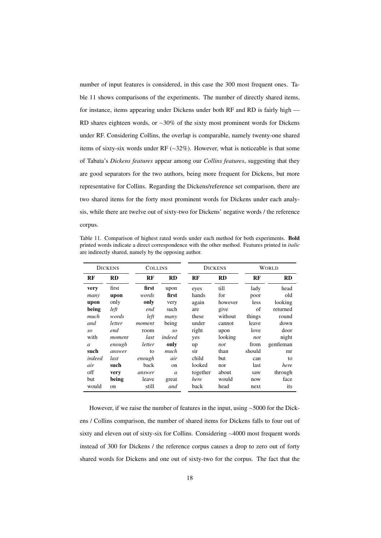number of input features is considered, in this case the 300 most frequent ones. Table 11 shows comparisons of the experiments. The number of directly shared items, for instance, items appearing under Dickens under both RF and RD is fairly high — RD shares eighteen words, or ~30% of the sixty most prominent words for Dickens under RF. Considering Collins, the overlap is comparable, namely twenty-one shared items of sixty-six words under RF (∼32%). However, what is noticeable is that some of Tabata's *Dickens features* appear among our *Collins features*, suggesting that they are good separators for the two authors, being more frequent for Dickens, but more representative for Collins. Regarding the Dickens/reference set comparison, there are two shared items for the forty most prominent words for Dickens under each analysis, while there are twelve out of sixty-two for Dickens' negative words / the reference corpus.

Table 11. Comparison of highest rated words under each method for both experiments. Bold printed words indicate a direct correspondence with the other method. Features printed in *italic* are indirectly shared, namely by the opposing author.

|        | <b>DICKENS</b><br><b>DICKENS</b><br><b>COLLINS</b> |        |               |          | <b>WORLD</b> |        |           |
|--------|----------------------------------------------------|--------|---------------|----------|--------------|--------|-----------|
| RF     | <b>RD</b>                                          | RF     | <b>RD</b>     | RF       | RD           | RF     | <b>RD</b> |
| very   | first                                              | first  | upon          | eyes     | till         | lady   | head      |
| many   | upon                                               | words  | first         | hands    | for          | poor   | old       |
| upon   | only                                               | only   | very          | again    | however      | less   | looking   |
| being  | left                                               | end    | such          | are      | give         | of     | returned  |
| much   | words                                              | left   | many          | these    | without      | things | round     |
| and    | letter                                             | moment | being         | under    | cannot       | leave  | down      |
| so     | end                                                | room   | SO            | right    | upon         | love   | door      |
| with   | moment                                             | last   | indeed        | yes      | looking      | not    | night     |
| a      | enough                                             | letter | only          | up       | not          | from   | gentleman |
| such   | answer                                             | to     | much          | sir      | than         | should | mr        |
| indeed | last                                               | enough | air           | child    | but          | can    | to        |
| air    | such                                               | back   | on            | looked   | nor          | last   | here      |
| off    | very                                               | answer | $\mathfrak a$ | together | about        | saw    | through   |
| but    | being                                              | leave  | great         | here     | would        | now    | face      |
| would  | on                                                 | still  | and           | back     | head         | next   | its       |

However, if we raise the number of features in the input, using <sup>∼</sup>5000 for the Dickens / Collins comparison, the number of shared items for Dickens falls to four out of sixty and eleven out of sixty-six for Collins. Considering <sup>∼</sup>4000 most frequent words instead of 300 for Dickens / the reference corpus causes a drop to zero out of forty shared words for Dickens and one out of sixty-two for the corpus. The fact that the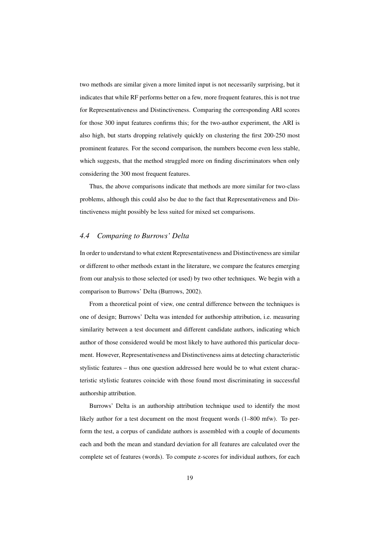two methods are similar given a more limited input is not necessarily surprising, but it indicates that while RF performs better on a few, more frequent features, this is not true for Representativeness and Distinctiveness. Comparing the corresponding ARI scores for those 300 input features confirms this; for the two-author experiment, the ARI is also high, but starts dropping relatively quickly on clustering the first 200-250 most prominent features. For the second comparison, the numbers become even less stable, which suggests, that the method struggled more on finding discriminators when only considering the 300 most frequent features.

Thus, the above comparisons indicate that methods are more similar for two-class problems, although this could also be due to the fact that Representativeness and Distinctiveness might possibly be less suited for mixed set comparisons.

## *4.4 Comparing to Burrows' Delta*

In order to understand to what extent Representativeness and Distinctiveness are similar or different to other methods extant in the literature, we compare the features emerging from our analysis to those selected (or used) by two other techniques. We begin with a comparison to Burrows' Delta (Burrows, 2002).

From a theoretical point of view, one central difference between the techniques is one of design; Burrows' Delta was intended for authorship attribution, i.e. measuring similarity between a test document and different candidate authors, indicating which author of those considered would be most likely to have authored this particular document. However, Representativeness and Distinctiveness aims at detecting characteristic stylistic features – thus one question addressed here would be to what extent characteristic stylistic features coincide with those found most discriminating in successful authorship attribution.

Burrows' Delta is an authorship attribution technique used to identify the most likely author for a test document on the most frequent words (1–800 mfw). To perform the test, a corpus of candidate authors is assembled with a couple of documents each and both the mean and standard deviation for all features are calculated over the complete set of features (words). To compute z-scores for individual authors, for each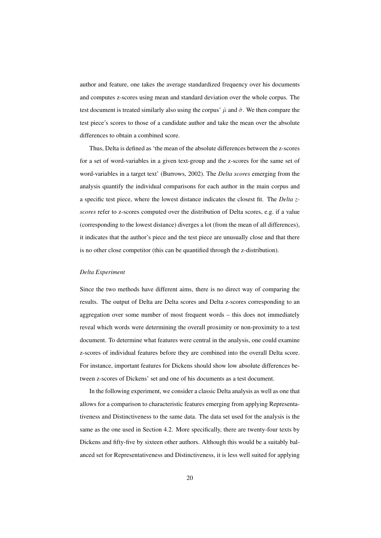author and feature, one takes the average standardized frequency over his documents and computes z-scores using mean and standard deviation over the whole corpus. The test document is treated similarly also using the corpus'  $\hat{\mu}$  and  $\hat{\sigma}$ . We then compare the test piece's scores to those of a candidate author and take the mean over the absolute differences to obtain a combined score.

Thus, Delta is defined as 'the mean of the absolute differences between the z-scores for a set of word-variables in a given text-group and the z-scores for the same set of word-variables in a target text' (Burrows, 2002). The *Delta scores* emerging from the analysis quantify the individual comparisons for each author in the main corpus and a specific test piece, where the lowest distance indicates the closest fit. The *Delta zscores* refer to z-scores computed over the distribution of Delta scores, e.g. if a value (corresponding to the lowest distance) diverges a lot (from the mean of all differences), it indicates that the author's piece and the test piece are unusually close and that there is no other close competitor (this can be quantified through the z-distribution).

#### *Delta Experiment*

Since the two methods have different aims, there is no direct way of comparing the results. The output of Delta are Delta scores and Delta z-scores corresponding to an aggregation over some number of most frequent words – this does not immediately reveal which words were determining the overall proximity or non-proximity to a test document. To determine what features were central in the analysis, one could examine z-scores of individual features before they are combined into the overall Delta score. For instance, important features for Dickens should show low absolute differences between z-scores of Dickens' set and one of his documents as a test document.

In the following experiment, we consider a classic Delta analysis as well as one that allows for a comparison to characteristic features emerging from applying Representativeness and Distinctiveness to the same data. The data set used for the analysis is the same as the one used in Section 4.2. More specifically, there are twenty-four texts by Dickens and fifty-five by sixteen other authors. Although this would be a suitably balanced set for Representativeness and Distinctiveness, it is less well suited for applying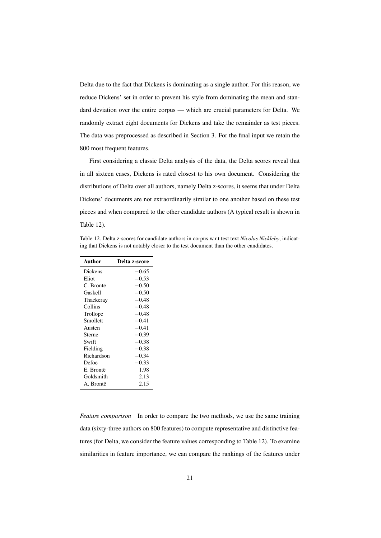Delta due to the fact that Dickens is dominating as a single author. For this reason, we reduce Dickens' set in order to prevent his style from dominating the mean and standard deviation over the entire corpus — which are crucial parameters for Delta. We randomly extract eight documents for Dickens and take the remainder as test pieces. The data was preprocessed as described in Section 3. For the final input we retain the 800 most frequent features.

First considering a classic Delta analysis of the data, the Delta scores reveal that in all sixteen cases, Dickens is rated closest to his own document. Considering the distributions of Delta over all authors, namely Delta z-scores, it seems that under Delta Dickens' documents are not extraordinarily similar to one another based on these test pieces and when compared to the other candidate authors (A typical result is shown in Table 12).

Table 12. Delta z-scores for candidate authors in corpus w.r.t test text *Nicolas Nickleby*, indicating that Dickens is not notably closer to the test document than the other candidates.

| Author     | Delta z-score |
|------------|---------------|
| Dickens    | $-0.65$       |
| Eliot      | $-0.53$       |
| C. Brontë  | $-0.50$       |
| Gaskell    | $-0.50$       |
| Thackeray  | $-0.48$       |
| Collins    | $-0.48$       |
| Trollope   | $-0.48$       |
| Smollett   | $-0.41$       |
| Austen     | $-0.41$       |
| Sterne     | $-0.39$       |
| Swift      | $-0.38$       |
| Fielding   | $-0.38$       |
| Richardson | $-0.34$       |
| Defoe      | $-0.33$       |
| E. Brontë  | 1.98          |
| Goldsmith  | 2.13          |
| A. Brontë  | 2.15          |

 $\overline{a}$ 

*Feature comparison* In order to compare the two methods, we use the same training data (sixty-three authors on 800 features) to compute representative and distinctive features (for Delta, we consider the feature values corresponding to Table 12). To examine similarities in feature importance, we can compare the rankings of the features under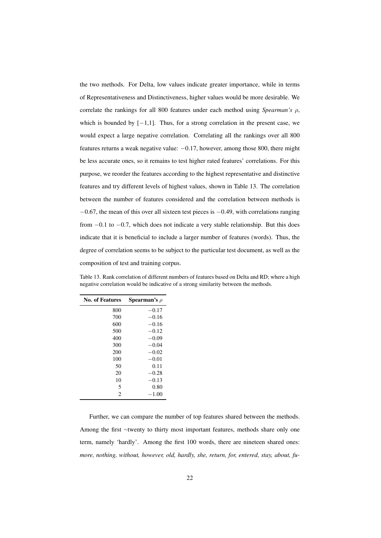the two methods. For Delta, low values indicate greater importance, while in terms of Representativeness and Distinctiveness, higher values would be more desirable. We correlate the rankings for all 800 features under each method using *Spearman's* ρ, which is bounded by [−1,1]. Thus, for a strong correlation in the present case, we would expect a large negative correlation. Correlating all the rankings over all 800 features returns a weak negative value: −0.17, however, among those 800, there might be less accurate ones, so it remains to test higher rated features' correlations. For this purpose, we reorder the features according to the highest representative and distinctive features and try different levels of highest values, shown in Table 13. The correlation between the number of features considered and the correlation between methods is  $-0.67$ , the mean of this over all sixteen test pieces is  $-0.49$ , with correlations ranging from −0.1 to −0.7, which does not indicate a very stable relationship. But this does indicate that it is beneficial to include a larger number of features (words). Thus, the degree of correlation seems to be subject to the particular test document, as well as the composition of test and training corpus.

| Table 13. Rank correlation of different numbers of features based on Delta and RD; where a high |
|-------------------------------------------------------------------------------------------------|
| negative correlation would be indicative of a strong similarity between the methods.            |
|                                                                                                 |

| <b>No. of Features</b> | <b>Spearman's</b> $\rho$ |
|------------------------|--------------------------|
| 800                    | $-0.17$                  |
| 700                    | $-0.16$                  |
| 600                    | $-0.16$                  |
| 500                    | $-0.12$                  |
| 400                    | $-0.09$                  |
| 300                    | $-0.04$                  |
| 200                    | $-0.02$                  |
| 100                    | $-0.01$                  |
| 50                     | 0.11                     |
| 20                     | $-0.28$                  |
| 10                     | $-0.13$                  |
| 5                      | 0.80                     |
| $\overline{c}$         | $-1.00$                  |

Further, we can compare the number of top features shared between the methods. Among the first <sup>∼</sup>twenty to thirty most important features, methods share only one term, namely 'hardly'. Among the first 100 words, there are nineteen shared ones: *more, nothing, without, however, old, hardly, she, return, for, entered, stay, about, fu-*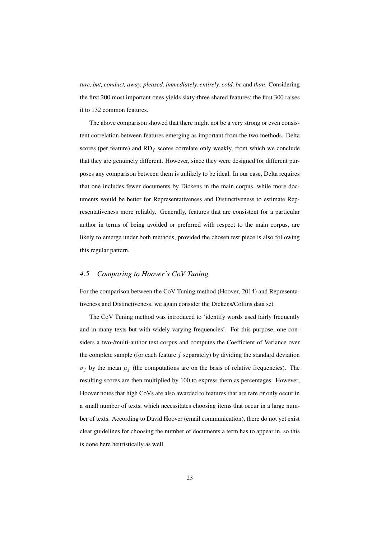*ture, but, conduct, away, pleased, immediately, entirely, cold, be* and *than*. Considering the first 200 most important ones yields sixty-three shared features; the first 300 raises it to 132 common features.

The above comparison showed that there might not be a very strong or even consistent correlation between features emerging as important from the two methods. Delta scores (per feature) and  $RD_f$  scores correlate only weakly, from which we conclude that they are genuinely different. However, since they were designed for different purposes any comparison between them is unlikely to be ideal. In our case, Delta requires that one includes fewer documents by Dickens in the main corpus, while more documents would be better for Representativeness and Distinctiveness to estimate Representativeness more reliably. Generally, features that are consistent for a particular author in terms of being avoided or preferred with respect to the main corpus, are likely to emerge under both methods, provided the chosen test piece is also following this regular pattern.

## *4.5 Comparing to Hoover's CoV Tuning*

For the comparison between the CoV Tuning method (Hoover, 2014) and Representativeness and Distinctiveness, we again consider the Dickens/Collins data set.

The CoV Tuning method was introduced to 'identify words used fairly frequently and in many texts but with widely varying frequencies'. For this purpose, one considers a two-/multi-author text corpus and computes the Coefficient of Variance over the complete sample (for each feature  $f$  separately) by dividing the standard deviation  $\sigma_f$  by the mean  $\mu_f$  (the computations are on the basis of relative frequencies). The resulting scores are then multiplied by 100 to express them as percentages. However, Hoover notes that high CoVs are also awarded to features that are rare or only occur in a small number of texts, which necessitates choosing items that occur in a large number of texts. According to David Hoover (email communication), there do not yet exist clear guidelines for choosing the number of documents a term has to appear in, so this is done here heuristically as well.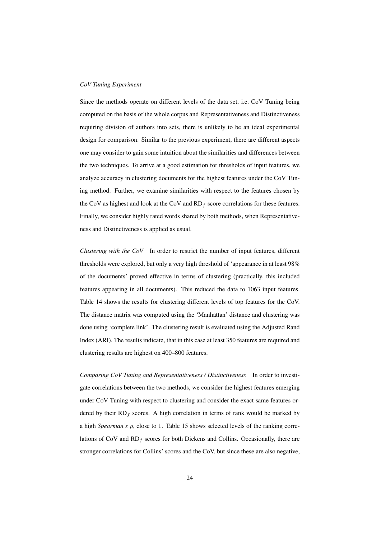#### *CoV Tuning Experiment*

Since the methods operate on different levels of the data set, i.e. CoV Tuning being computed on the basis of the whole corpus and Representativeness and Distinctiveness requiring division of authors into sets, there is unlikely to be an ideal experimental design for comparison. Similar to the previous experiment, there are different aspects one may consider to gain some intuition about the similarities and differences between the two techniques. To arrive at a good estimation for thresholds of input features, we analyze accuracy in clustering documents for the highest features under the CoV Tuning method. Further, we examine similarities with respect to the features chosen by the CoV as highest and look at the CoV and  $RD_f$  score correlations for these features. Finally, we consider highly rated words shared by both methods, when Representativeness and Distinctiveness is applied as usual.

*Clustering with the CoV* In order to restrict the number of input features, different thresholds were explored, but only a very high threshold of 'appearance in at least 98% of the documents' proved effective in terms of clustering (practically, this included features appearing in all documents). This reduced the data to 1063 input features. Table 14 shows the results for clustering different levels of top features for the CoV. The distance matrix was computed using the 'Manhattan' distance and clustering was done using 'complete link'. The clustering result is evaluated using the Adjusted Rand Index (ARI). The results indicate, that in this case at least 350 features are required and clustering results are highest on 400–800 features.

*Comparing CoV Tuning and Representativeness / Distinctiveness* In order to investigate correlations between the two methods, we consider the highest features emerging under CoV Tuning with respect to clustering and consider the exact same features ordered by their  $RD_f$  scores. A high correlation in terms of rank would be marked by a high *Spearman's* ρ, close to 1. Table 15 shows selected levels of the ranking correlations of CoV and  $RD_f$  scores for both Dickens and Collins. Occasionally, there are stronger correlations for Collins' scores and the CoV, but since these are also negative,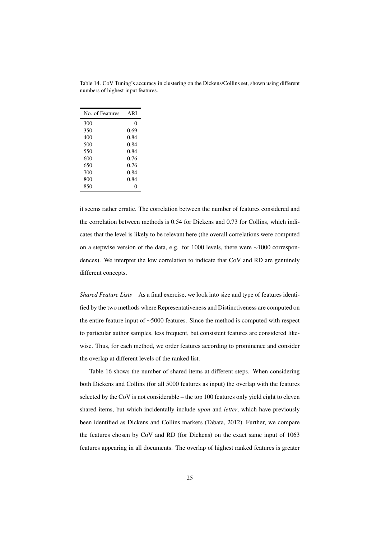| No. of Features | ARI  |
|-----------------|------|
| 300             | 0    |
| 350             | 0.69 |
| 400             | 0.84 |
| 500             | 0.84 |
| 550             | 0.84 |
| 600             | 0.76 |
| 650             | 0.76 |
| 700             | 0.84 |
| 800             | 0.84 |
| 850             | 0    |

Table 14. CoV Tuning's accuracy in clustering on the Dickens/Collins set, shown using different numbers of highest input features.

it seems rather erratic. The correlation between the number of features considered and the correlation between methods is 0.54 for Dickens and 0.73 for Collins, which indicates that the level is likely to be relevant here (the overall correlations were computed on a stepwise version of the data, e.g. for 1000 levels, there were <sup>∼</sup>1000 correspondences). We interpret the low correlation to indicate that CoV and RD are genuinely different concepts.

*Shared Feature Lists* As a final exercise, we look into size and type of features identified by the two methods where Representativeness and Distinctiveness are computed on the entire feature input of <sup>∼</sup>5000 features. Since the method is computed with respect to particular author samples, less frequent, but consistent features are considered likewise. Thus, for each method, we order features according to prominence and consider the overlap at different levels of the ranked list.

Table 16 shows the number of shared items at different steps. When considering both Dickens and Collins (for all 5000 features as input) the overlap with the features selected by the CoV is not considerable – the top 100 features only yield eight to eleven shared items, but which incidentally include *upon* and *letter*, which have previously been identified as Dickens and Collins markers (Tabata, 2012). Further, we compare the features chosen by CoV and RD (for Dickens) on the exact same input of 1063 features appearing in all documents. The overlap of highest ranked features is greater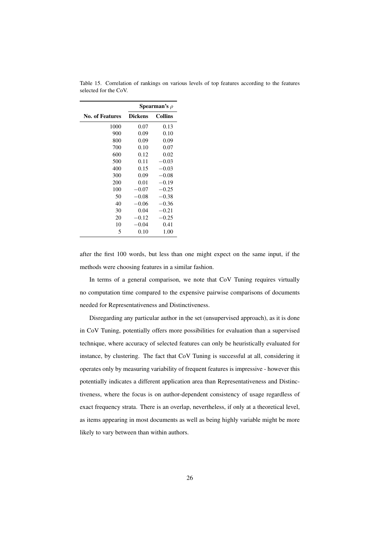|                        | Spearman's $\rho$ |                |  |  |
|------------------------|-------------------|----------------|--|--|
| <b>No. of Features</b> | <b>Dickens</b>    | <b>Collins</b> |  |  |
| 1000                   | 0.07              | 0.13           |  |  |
| 900                    | 0.09              | 0.10           |  |  |
| 800                    | 0.09              | 0.09           |  |  |
| 700                    | 0.10              | 0.07           |  |  |
| 600                    | 0.12              | 0.02           |  |  |
| 500                    | 0.11              | $-0.03$        |  |  |
| 400                    | 0.15              | $-0.03$        |  |  |
| 300                    | 0.09              | $-0.08$        |  |  |
| 200                    | 0.01              | $-0.19$        |  |  |
| 100                    | $-0.07$           | $-0.25$        |  |  |
| 50                     | $-0.08$           | $-0.38$        |  |  |
| 40                     | $-0.06$           | $-0.36$        |  |  |
| 30                     | 0.04              | $-0.21$        |  |  |
| 20                     | $-0.12$           | $-0.25$        |  |  |
| 10                     | $-0.04$           | 0.41           |  |  |
| 5                      | 0.10              | 1.00           |  |  |

Table 15. Correlation of rankings on various levels of top features according to the features selected for the CoV.

after the first 100 words, but less than one might expect on the same input, if the methods were choosing features in a similar fashion.

In terms of a general comparison, we note that CoV Tuning requires virtually no computation time compared to the expensive pairwise comparisons of documents needed for Representativeness and Distinctiveness.

Disregarding any particular author in the set (unsupervised approach), as it is done in CoV Tuning, potentially offers more possibilities for evaluation than a supervised technique, where accuracy of selected features can only be heuristically evaluated for instance, by clustering. The fact that CoV Tuning is successful at all, considering it operates only by measuring variability of frequent features is impressive - however this potentially indicates a different application area than Representativeness and Distinctiveness, where the focus is on author-dependent consistency of usage regardless of exact frequency strata. There is an overlap, nevertheless, if only at a theoretical level, as items appearing in most documents as well as being highly variable might be more likely to vary between than within authors.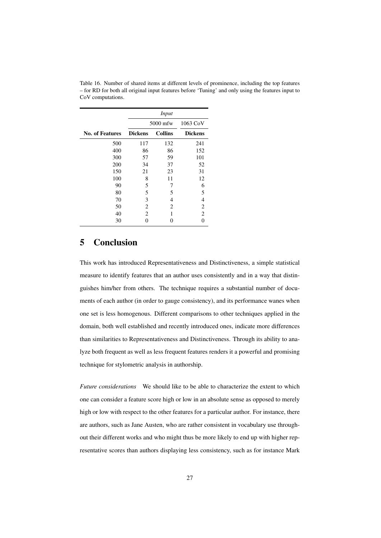|                        | Input          |                |                |
|------------------------|----------------|----------------|----------------|
|                        | 5000 mfw       |                | 1063 CoV       |
| <b>No. of Features</b> | <b>Dickens</b> | <b>Collins</b> | <b>Dickens</b> |
| 500                    | 117            | 132            | 241            |
| 400                    | 86             | 86             | 152            |
| 300                    | 57             | 59             | 101            |
| 200                    | 34             | 37             | 52             |
| 150                    | 21             | 23             | 31             |
| 100                    | 8              | 11             | 12             |
| 90                     | 5              | 7              | 6              |
| 80                     | 5              | 5              | 5              |
| 70                     | 3              | 4              | $\overline{4}$ |
| 50                     | 2              | 2              | $\overline{2}$ |
| 40                     | 2              | 1              | $\overline{2}$ |
| 30                     | 0              | 0              | 0              |

Table 16. Number of shared items at different levels of prominence, including the top features – for RD for both all original input features before 'Tuning' and only using the features input to CoV computations.

# 5 Conclusion

This work has introduced Representativeness and Distinctiveness, a simple statistical measure to identify features that an author uses consistently and in a way that distinguishes him/her from others. The technique requires a substantial number of documents of each author (in order to gauge consistency), and its performance wanes when one set is less homogenous. Different comparisons to other techniques applied in the domain, both well established and recently introduced ones, indicate more differences than similarities to Representativeness and Distinctiveness. Through its ability to analyze both frequent as well as less frequent features renders it a powerful and promising technique for stylometric analysis in authorship.

*Future considerations* We should like to be able to characterize the extent to which one can consider a feature score high or low in an absolute sense as opposed to merely high or low with respect to the other features for a particular author. For instance, there are authors, such as Jane Austen, who are rather consistent in vocabulary use throughout their different works and who might thus be more likely to end up with higher representative scores than authors displaying less consistency, such as for instance Mark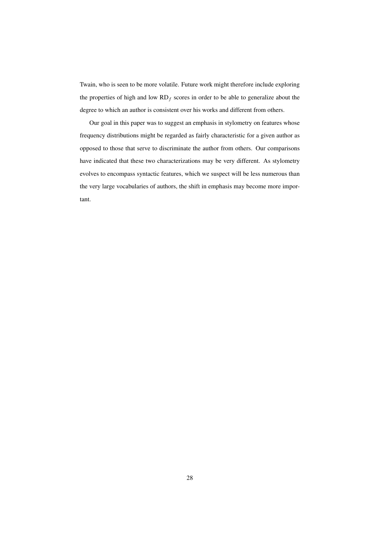Twain, who is seen to be more volatile. Future work might therefore include exploring the properties of high and low  $RD_f$  scores in order to be able to generalize about the degree to which an author is consistent over his works and different from others.

Our goal in this paper was to suggest an emphasis in stylometry on features whose frequency distributions might be regarded as fairly characteristic for a given author as opposed to those that serve to discriminate the author from others. Our comparisons have indicated that these two characterizations may be very different. As stylometry evolves to encompass syntactic features, which we suspect will be less numerous than the very large vocabularies of authors, the shift in emphasis may become more important.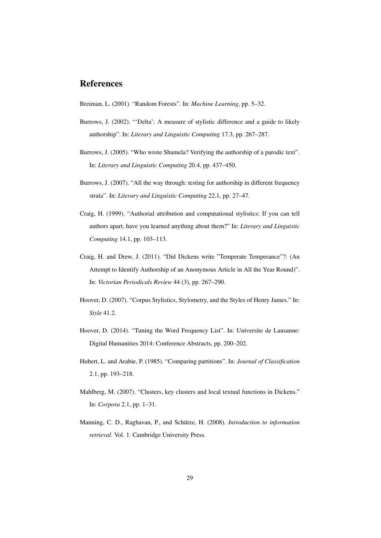# References

Breiman, L. (2001). "Random Forests". In: *Machine Learning*, pp. 5–32.

- Burrows, J. (2002). "'Delta': A measure of stylistic difference and a guide to likely authorship". In: *Literary and Linguistic Computing* 17.3, pp. 267–287.
- Burrows, J. (2005). "Who wrote Shamela? Verifying the authorship of a parodic text". In: *Literary and Linguistic Computing* 20.4, pp. 437–450.
- Burrows, J. (2007). "All the way through: testing for authorship in different frequency strata". In: *Literary and Linguistic Computing* 22.1, pp. 27–47.
- Craig, H. (1999). "Authorial attribution and computational stylistics: If you can tell authors apart, have you learned anything about them?" In: *Literary and Linguistic Computing* 14.1, pp. 103–113.
- Craig, H. and Drew, J. (2011). "Did Dickens write "Temperate Temperance"?: (An Attempt to Identify Authorship of an Anonymous Article in All the Year Round)". In: *Victorian Periodicals Review* 44 (3), pp. 267–290.
- Hoover, D. (2007). "Corpus Stylistics, Stylometry, and the Styles of Henry James." In: *Style* 41.2.
- Hoover, D. (2014). "Tuning the Word Frequency List". In: Universite de Lausanne: Digital Humanities 2014: Conference Abstracts, pp. 200–202.
- Hubert, L. and Arabie, P. (1985). "Comparing partitions". In: *Journal of Classification* 2.1, pp. 193–218.
- Mahlberg, M. (2007). "Clusters, key clusters and local textual functions in Dickens." In: *Corpora* 2.1, pp. 1–31.
- Manning, C. D., Raghavan, P., and Schütze, H. (2008). *Introduction to information retrieval*. Vol. 1. Cambridge University Press.